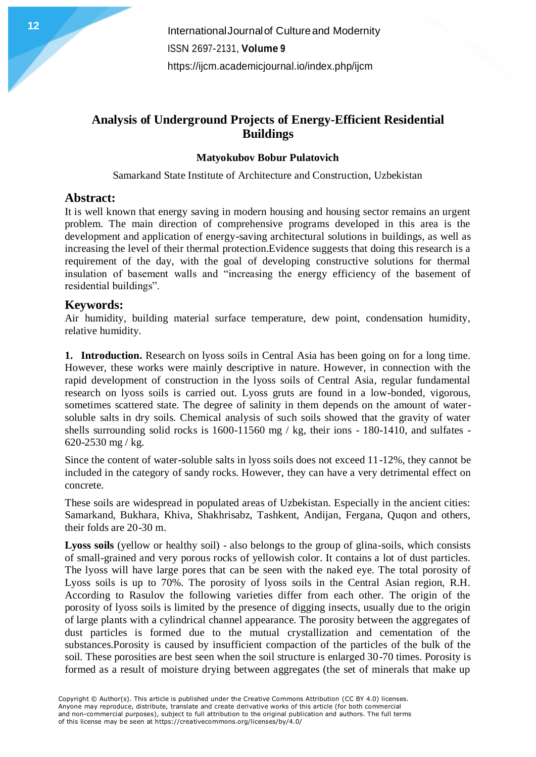# **Analysis of Underground Projects of Energy-Efficient Residential Buildings**

#### **Matyokubov Bobur Pulatovich**

Samarkand State Institute of Architecture and Construction, Uzbekistan

## **Abstract:**

It is well known that energy saving in modern housing and housing sector remains an urgent problem. The main direction of comprehensive programs developed in this area is the development and application of energy-saving architectural solutions in buildings, as well as increasing the level of their thermal protection.Evidence suggests that doing this research is a requirement of the day, with the goal of developing constructive solutions for thermal insulation of basement walls and "increasing the energy efficiency of the basement of residential buildings".

## **Keywords:**

Air humidity, building material surface temperature, dew point, condensation humidity, relative humidity.

**1. Introduction.** Research on lyoss soils in Central Asia has been going on for a long time. However, these works were mainly descriptive in nature. However, in connection with the rapid development of construction in the lyoss soils of Central Asia, regular fundamental research on lyoss soils is carried out. Lyoss gruts are found in a low-bonded, vigorous, sometimes scattered state. The degree of salinity in them depends on the amount of watersoluble salts in dry soils. Chemical analysis of such soils showed that the gravity of water shells surrounding solid rocks is 1600-11560 mg / kg, their ions - 180-1410, and sulfates - 620-2530 mg / kg.

Since the content of water-soluble salts in lyoss soils does not exceed 11-12%, they cannot be included in the category of sandy rocks. However, they can have a very detrimental effect on concrete.

These soils are widespread in populated areas of Uzbekistan. Especially in the ancient cities: Samarkand, Bukhara, Khiva, Shakhrisabz, Tashkent, Andijan, Fergana, Quqon and others, their folds are 20-30 m.

**Lyoss soils** (yellow or healthy soil) - also belongs to the group of glina-soils, which consists of small-grained and very porous rocks of yellowish color. It contains a lot of dust particles. The lyoss will have large pores that can be seen with the naked eye. The total porosity of Lyoss soils is up to 70%. The porosity of lyoss soils in the Central Asian region, R.H. According to Rasulov the following varieties differ from each other. The origin of the porosity of lyoss soils is limited by the presence of digging insects, usually due to the origin of large plants with a cylindrical channel appearance. The porosity between the aggregates of dust particles is formed due to the mutual crystallization and cementation of the substances.Porosity is caused by insufficient compaction of the particles of the bulk of the soil. These porosities are best seen when the soil structure is enlarged 30-70 times. Porosity is formed as a result of moisture drying between aggregates (the set of minerals that make up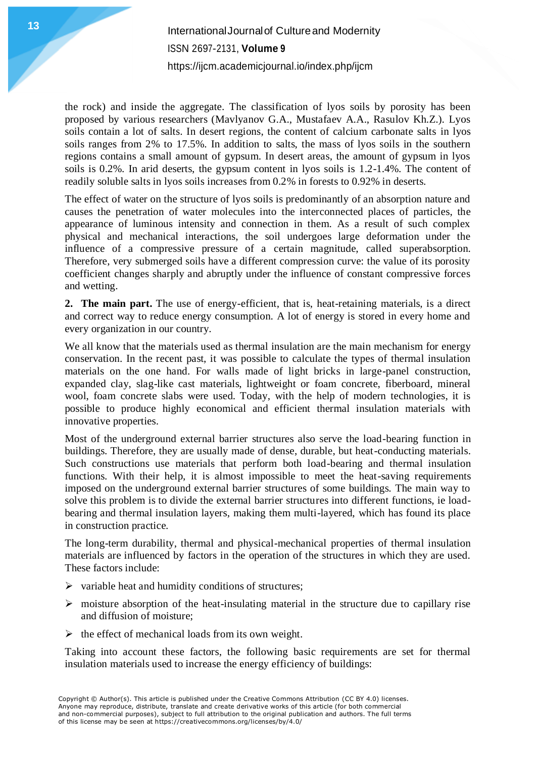# InternationalJournalof Cultureand Modernity **<sup>13</sup>** <sup>13</sup> ISSN 2697-2131, **Volume 9** <https://ijcm.academicjournal.io/index.php/ijcm>

the rock) and inside the aggregate. The classification of lyos soils by porosity has been proposed by various researchers (Mavlyanov G.A., Mustafaev A.A., Rasulov Kh.Z.). Lyos soils contain a lot of salts. In desert regions, the content of calcium carbonate salts in lyos soils ranges from 2% to 17.5%. In addition to salts, the mass of lyos soils in the southern regions contains a small amount of gypsum. In desert areas, the amount of gypsum in lyos soils is 0.2%. In arid deserts, the gypsum content in lyos soils is 1.2-1.4%. The content of readily soluble salts in lyos soils increases from 0.2% in forests to 0.92% in deserts.

The effect of water on the structure of lyos soils is predominantly of an absorption nature and causes the penetration of water molecules into the interconnected places of particles, the appearance of luminous intensity and connection in them. As a result of such complex physical and mechanical interactions, the soil undergoes large deformation under the influence of a compressive pressure of a certain magnitude, called superabsorption. Therefore, very submerged soils have a different compression curve: the value of its porosity coefficient changes sharply and abruptly under the influence of constant compressive forces and wetting.

**2. The main part.** The use of energy-efficient, that is, heat-retaining materials, is a direct and correct way to reduce energy consumption. A lot of energy is stored in every home and every organization in our country.

We all know that the materials used as thermal insulation are the main mechanism for energy conservation. In the recent past, it was possible to calculate the types of thermal insulation materials on the one hand. For walls made of light bricks in large-panel construction, expanded clay, slag-like cast materials, lightweight or foam concrete, fiberboard, mineral wool, foam concrete slabs were used. Today, with the help of modern technologies, it is possible to produce highly economical and efficient thermal insulation materials with innovative properties.

Most of the underground external barrier structures also serve the load-bearing function in buildings. Therefore, they are usually made of dense, durable, but heat-conducting materials. Such constructions use materials that perform both load-bearing and thermal insulation functions. With their help, it is almost impossible to meet the heat-saving requirements imposed on the underground external barrier structures of some buildings. The main way to solve this problem is to divide the external barrier structures into different functions, ie loadbearing and thermal insulation layers, making them multi-layered, which has found its place in construction practice.

The long-term durability, thermal and physical-mechanical properties of thermal insulation materials are influenced by factors in the operation of the structures in which they are used. These factors include:

- $\triangleright$  variable heat and humidity conditions of structures;
- $\triangleright$  moisture absorption of the heat-insulating material in the structure due to capillary rise and diffusion of moisture;
- $\triangleright$  the effect of mechanical loads from its own weight.

Taking into account these factors, the following basic requirements are set for thermal insulation materials used to increase the energy efficiency of buildings: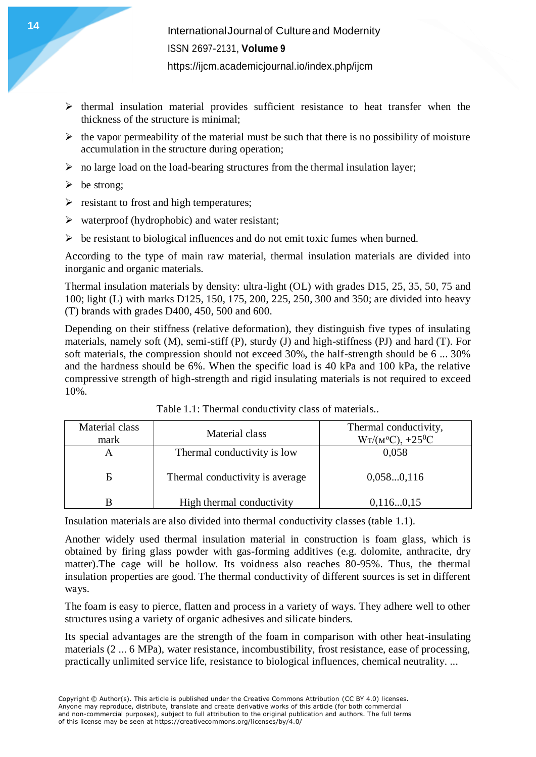- $\triangleright$  thermal insulation material provides sufficient resistance to heat transfer when the thickness of the structure is minimal;
- $\triangleright$  the vapor permeability of the material must be such that there is no possibility of moisture accumulation in the structure during operation;
- $\triangleright$  no large load on the load-bearing structures from the thermal insulation layer;
- $\triangleright$  be strong;
- $\triangleright$  resistant to frost and high temperatures;
- $\triangleright$  waterproof (hydrophobic) and water resistant;
- $\triangleright$  be resistant to biological influences and do not emit toxic fumes when burned.

According to the type of main raw material, thermal insulation materials are divided into inorganic and organic materials.

Thermal insulation materials by density: ultra-light (OL) with grades D15, 25, 35, 50, 75 and 100; light (L) with marks D125, 150, 175, 200, 225, 250, 300 and 350; are divided into heavy (T) brands with grades D400, 450, 500 and 600.

Depending on their stiffness (relative deformation), they distinguish five types of insulating materials, namely soft (M), semi-stiff (P), sturdy (J) and high-stiffness (PJ) and hard (T). For soft materials, the compression should not exceed 30%, the half-strength should be 6 ... 30% and the hardness should be 6%. When the specific load is 40 kPa and 100 kPa, the relative compressive strength of high-strength and rigid insulating materials is not required to exceed 10%.

| Material class<br>mark | Material class                  | Thermal conductivity,<br>$W_T/(M^oC), +25^0C$ |
|------------------------|---------------------------------|-----------------------------------------------|
| Α                      | Thermal conductivity is low     | 0,058                                         |
| Б                      | Thermal conductivity is average | 0,0580,116                                    |
|                        | High thermal conductivity       | 0,1160,15                                     |

Table 1.1: Thermal conductivity class of materials..

Insulation materials are also divided into thermal conductivity classes (table 1.1).

Another widely used thermal insulation material in construction is foam glass, which is obtained by firing glass powder with gas-forming additives (e.g. dolomite, anthracite, dry matter).The cage will be hollow. Its voidness also reaches 80-95%. Thus, the thermal insulation properties are good. The thermal conductivity of different sources is set in different ways.

The foam is easy to pierce, flatten and process in a variety of ways. They adhere well to other structures using a variety of organic adhesives and silicate binders.

Its special advantages are the strength of the foam in comparison with other heat-insulating materials (2 ... 6 MPa), water resistance, incombustibility, frost resistance, ease of processing, practically unlimited service life, resistance to biological influences, chemical neutrality. ...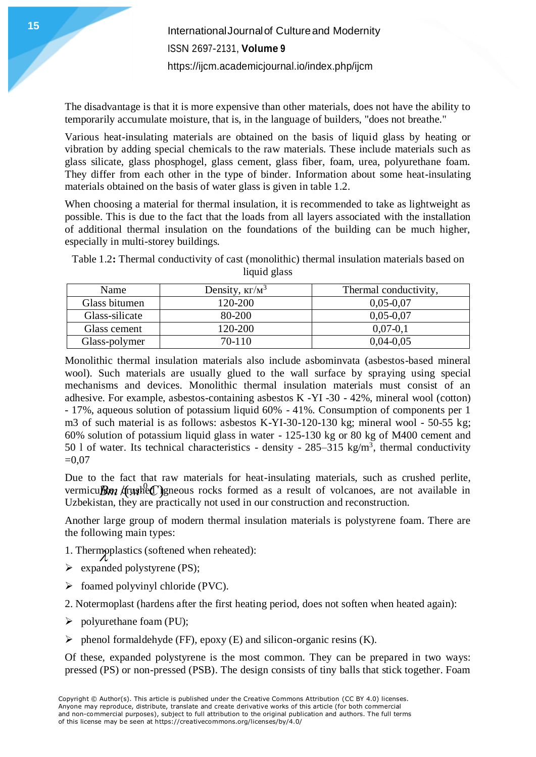The disadvantage is that it is more expensive than other materials, does not have the ability to temporarily accumulate moisture, that is, in the language of builders, "does not breathe."

Various heat-insulating materials are obtained on the basis of liquid glass by heating or vibration by adding special chemicals to the raw materials. These include materials such as glass silicate, glass phosphogel, glass cement, glass fiber, foam, urea, polyurethane foam. They differ from each other in the type of binder. Information about some heat-insulating materials obtained on the basis of water glass is given in table 1.2.

When choosing a material for thermal insulation, it is recommended to take as lightweight as possible. This is due to the fact that the loads from all layers associated with the installation of additional thermal insulation on the foundations of the building can be much higher, especially in multi-storey buildings.

Table 1.2**:** Thermal conductivity of cast (monolithic) thermal insulation materials based on liquid glass

| Name           | Density, $\kappa \Gamma / M^3$ | Thermal conductivity, |
|----------------|--------------------------------|-----------------------|
| Glass bitumen  | 120-200                        | $0,05-0,07$           |
| Glass-silicate | 80-200                         | $0,05-0,07$           |
| Glass cement   | 120-200                        | $0,07-0,1$            |
| Glass-polymer  | 70-110                         | $0,04-0,05$           |

Monolithic thermal insulation materials also include asbominvata (asbestos-based mineral wool). Such materials are usually glued to the wall surface by spraying using special mechanisms and devices. Monolithic thermal insulation materials must consist of an adhesive. For example, asbestos-containing asbestos K -YI -30 - 42%, mineral wool (cotton) - 17%, aqueous solution of potassium liquid 60% - 41%. Consumption of components per 1 m3 of such material is as follows: asbestos K-YI-30-120-130 kg; mineral wool - 50-55 kg; 60% solution of potassium liquid glass in water - 125-130 kg or 80 kg of M400 cement and 50 l of water. Its technical characteristics - density -  $285-315$  kg/m<sup>3</sup>, thermal conductivity  $=0.07$ 

Due to the fact that raw materials for heat-insulating materials, such as crushed perlite, vermicu**BR** (**Cysual** corporation of as a result of volcanoes, are not available in Uzbekistan, they are practically not used in our construction and reconstruction.

Another large group of modern thermal insulation materials is polystyrene foam. There are the following main types:

- 1. Thermoplastics (softened when reheated):
- $\triangleright$  expanded polystyrene (PS);
- $\triangleright$  foamed polyvinyl chloride (PVC).
- 2. Notermoplast (hardens after the first heating period, does not soften when heated again):
- $\triangleright$  polyurethane foam (PU);
- $\triangleright$  phenol formaldehyde (FF), epoxy (E) and silicon-organic resins (K).

Of these, expanded polystyrene is the most common. They can be prepared in two ways: pressed (PS) or non-pressed (PSB). The design consists of tiny balls that stick together. Foam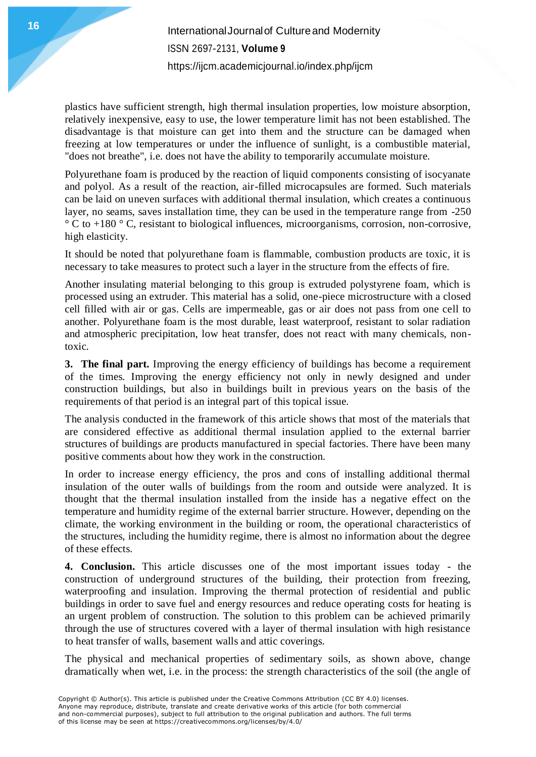plastics have sufficient strength, high thermal insulation properties, low moisture absorption, relatively inexpensive, easy to use, the lower temperature limit has not been established. The disadvantage is that moisture can get into them and the structure can be damaged when freezing at low temperatures or under the influence of sunlight, is a combustible material, "does not breathe", i.e. does not have the ability to temporarily accumulate moisture.

Polyurethane foam is produced by the reaction of liquid components consisting of isocyanate and polyol. As a result of the reaction, air-filled microcapsules are formed. Such materials can be laid on uneven surfaces with additional thermal insulation, which creates a continuous layer, no seams, saves installation time, they can be used in the temperature range from -250  $\degree$  C to +180  $\degree$  C, resistant to biological influences, microorganisms, corrosion, non-corrosive, high elasticity.

It should be noted that polyurethane foam is flammable, combustion products are toxic, it is necessary to take measures to protect such a layer in the structure from the effects of fire.

Another insulating material belonging to this group is extruded polystyrene foam, which is processed using an extruder. This material has a solid, one-piece microstructure with a closed cell filled with air or gas. Cells are impermeable, gas or air does not pass from one cell to another. Polyurethane foam is the most durable, least waterproof, resistant to solar radiation and atmospheric precipitation, low heat transfer, does not react with many chemicals, nontoxic.

**3. The final part.** Improving the energy efficiency of buildings has become a requirement of the times. Improving the energy efficiency not only in newly designed and under construction buildings, but also in buildings built in previous years on the basis of the requirements of that period is an integral part of this topical issue.

The analysis conducted in the framework of this article shows that most of the materials that are considered effective as additional thermal insulation applied to the external barrier structures of buildings are products manufactured in special factories. There have been many positive comments about how they work in the construction.

In order to increase energy efficiency, the pros and cons of installing additional thermal insulation of the outer walls of buildings from the room and outside were analyzed. It is thought that the thermal insulation installed from the inside has a negative effect on the temperature and humidity regime of the external barrier structure. However, depending on the climate, the working environment in the building or room, the operational characteristics of the structures, including the humidity regime, there is almost no information about the degree of these effects.

**4. Conclusion.** This article discusses one of the most important issues today - the construction of underground structures of the building, their protection from freezing, waterproofing and insulation. Improving the thermal protection of residential and public buildings in order to save fuel and energy resources and reduce operating costs for heating is an urgent problem of construction. The solution to this problem can be achieved primarily through the use of structures covered with a layer of thermal insulation with high resistance to heat transfer of walls, basement walls and attic coverings.

The physical and mechanical properties of sedimentary soils, as shown above, change dramatically when wet, i.e. in the process: the strength characteristics of the soil (the angle of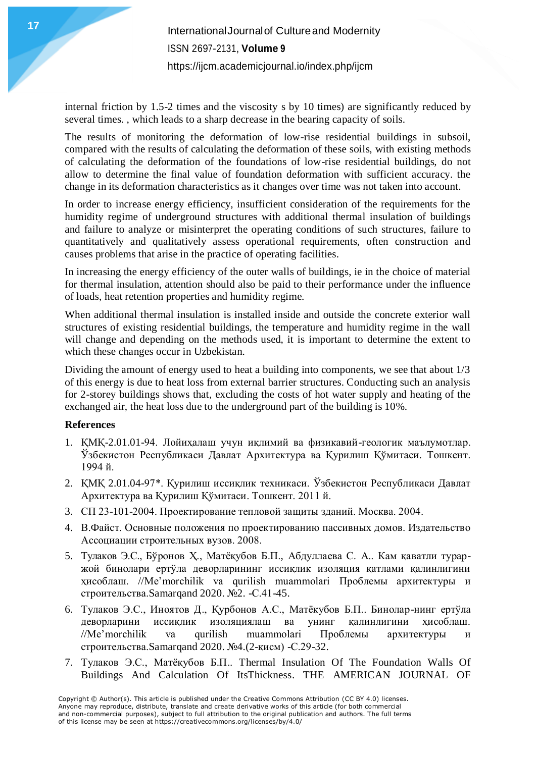internal friction by 1.5-2 times and the viscosity s by 10 times) are significantly reduced by several times. , which leads to a sharp decrease in the bearing capacity of soils.

The results of monitoring the deformation of low-rise residential buildings in subsoil, compared with the results of calculating the deformation of these soils, with existing methods of calculating the deformation of the foundations of low-rise residential buildings, do not allow to determine the final value of foundation deformation with sufficient accuracy. the change in its deformation characteristics as it changes over time was not taken into account.

In order to increase energy efficiency, insufficient consideration of the requirements for the humidity regime of underground structures with additional thermal insulation of buildings and failure to analyze or misinterpret the operating conditions of such structures, failure to quantitatively and qualitatively assess operational requirements, often construction and causes problems that arise in the practice of operating facilities.

In increasing the energy efficiency of the outer walls of buildings, ie in the choice of material for thermal insulation, attention should also be paid to their performance under the influence of loads, heat retention properties and humidity regime.

When additional thermal insulation is installed inside and outside the concrete exterior wall structures of existing residential buildings, the temperature and humidity regime in the wall will change and depending on the methods used, it is important to determine the extent to which these changes occur in Uzbekistan.

Dividing the amount of energy used to heat a building into components, we see that about 1/3 of this energy is due to heat loss from external barrier structures. Conducting such an analysis for 2-storey buildings shows that, excluding the costs of hot water supply and heating of the exchanged air, the heat loss due to the underground part of the building is 10%.

#### **References**

- 1. ҚМҚ-2.01.01-94. Лойиҳалаш учун иқлимий ва физикавий-геологик маълумотлар. Ўзбекистон Республикаси Давлат Архитектура ва Қурилиш Қўмитаси. Тошкент. 1994 й.
- 2. ҚМҚ 2.01.04-97\*. Қурилиш иссиқлик техникаси. Ўзбекистон Республикаси Давлат Архитектура ва Қурилиш Қўмитаси. Тошкент. 2011 й.
- 3. СП 23-101-2004. Проектирование тепловой защиты зданий. Москва. 2004.
- 4. В.Файст. Основные положения по проектированию пассивных домов. Издательство Ассоциации строительных вузов. 2008.
- 5. Тулаков Э.С., Бўронов Ҳ., Матёқубов Б.П., Абдуллаева С. А.. Кам қаватли тураржой бинолари ертўла деворларининг иссиқлик изоляция қатлами қалинлигини ҳисоблаш. //Me'morchilik va qurilish muammolari Проблемы архитектуры и строительства.Samarqand 2020. №2. -С.41-45.
- 6. Тулаков Э.С., Иноятов Д., Қурбонов А.С., Матёқубов Б.П.. Бинолар-нинг ертўла деворларини иссиқлик изоляциялаш ва унинг қалинлигини ҳисоблаш. //Me'morchilik va qurilish muammolari Проблемы архитектуры и строительства.Samarqand 2020. №4.(2-қисм) -С.29-32.
- 7. Тулаков Э.С., Матёқубов Б.П.. Thermal Insulation Of The Foundation Walls Of Buildings And Calculation Of ItsThickness. THE AMERICAN JOURNAL OF